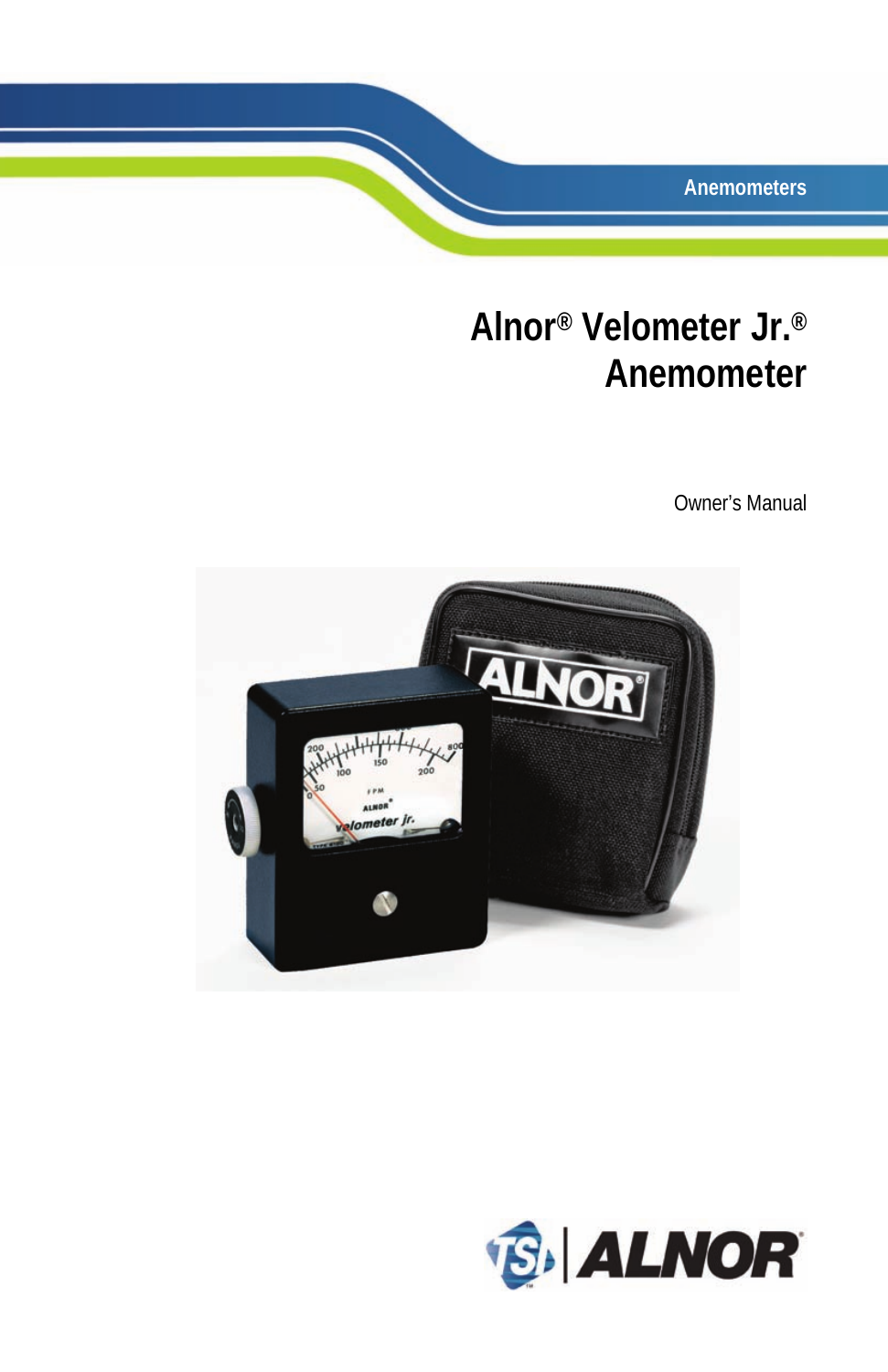**Anemometers**

## **Alnor® Velometer Jr.® Anemometer**

Owner's Manual



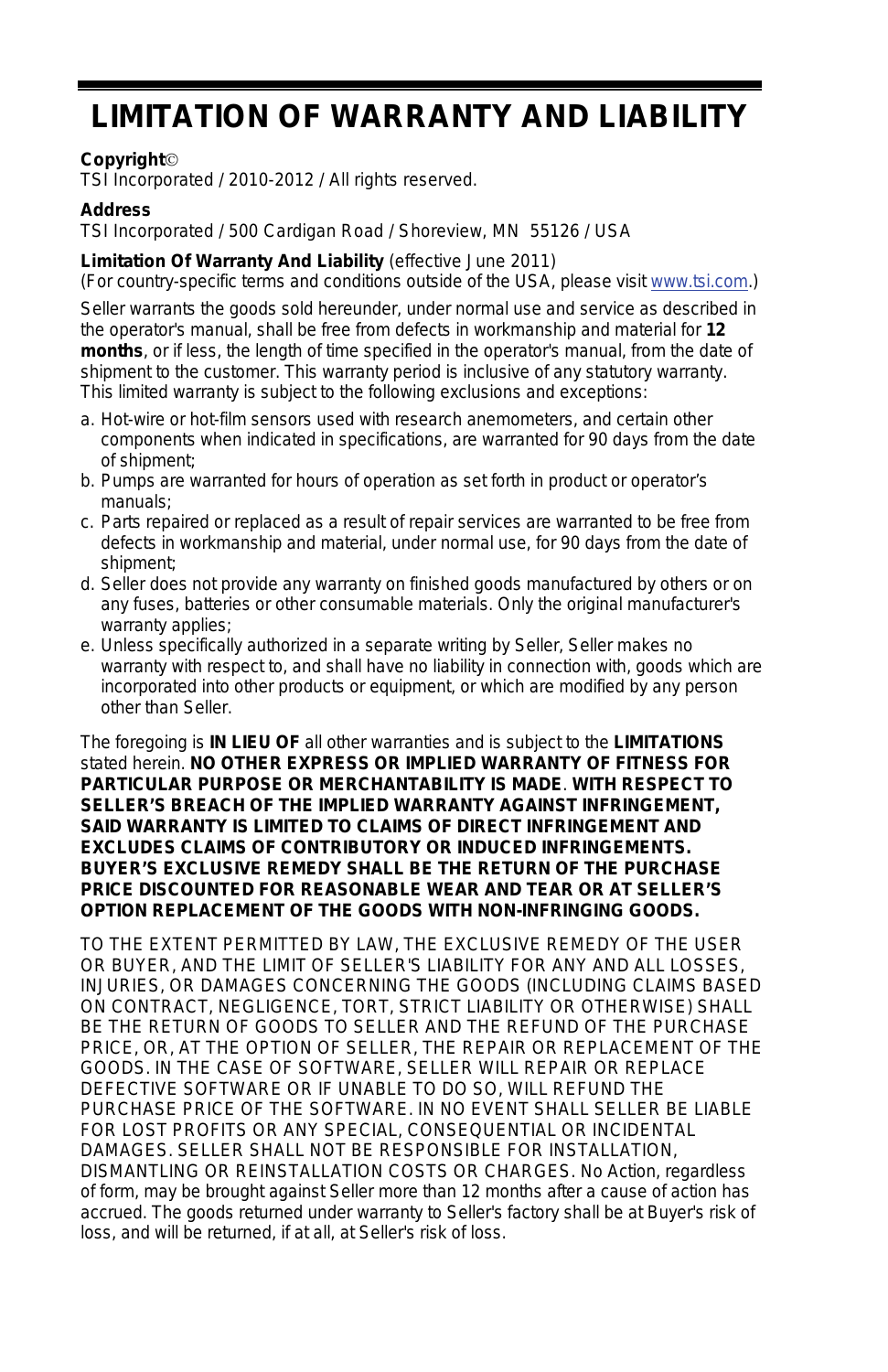### **LIMITATION OF WARRANTY AND LIABILITY**

#### **Copyright**

TSI Incorporated / 2010-2012 / All rights reserved.

#### **Address**

TSI Incorporated / 500 Cardigan Road / Shoreview, MN 55126 / USA

#### **Limitation Of Warranty And Liability** (effective June 2011)

(For country-specific terms and conditions outside of the USA, please visi[t www.tsi.com.\)](http://www.tsi.com/)

Seller warrants the goods sold hereunder, under normal use and service as described in the operator's manual, shall be free from defects in workmanship and material for **12 months**, or if less, the length of time specified in the operator's manual, from the date of shipment to the customer. This warranty period is inclusive of any statutory warranty. This limited warranty is subject to the following exclusions and exceptions:

- a. Hot-wire or hot-film sensors used with research anemometers, and certain other components when indicated in specifications, are warranted for 90 days from the date of shipment;
- b. Pumps are warranted for hours of operation as set forth in product or operator's manuals;
- c. Parts repaired or replaced as a result of repair services are warranted to be free from defects in workmanship and material, under normal use, for 90 days from the date of shipment;
- d. Seller does not provide any warranty on finished goods manufactured by others or on any fuses, batteries or other consumable materials. Only the original manufacturer's warranty applies;
- e. Unless specifically authorized in a separate writing by Seller, Seller makes no warranty with respect to, and shall have no liability in connection with, goods which are incorporated into other products or equipment, or which are modified by any person other than Seller.

The foregoing is **IN LIEU OF** all other warranties and is subject to the **LIMITATIONS** stated herein. **NO OTHER EXPRESS OR IMPLIED WARRANTY OF FITNESS FOR PARTICULAR PURPOSE OR MERCHANTABILITY IS MADE**. **WITH RESPECT TO SELLER'S BREACH OF THE IMPLIED WARRANTY AGAINST INFRINGEMENT, SAID WARRANTY IS LIMITED TO CLAIMS OF DIRECT INFRINGEMENT AND EXCLUDES CLAIMS OF CONTRIBUTORY OR INDUCED INFRINGEMENTS. BUYER'S EXCLUSIVE REMEDY SHALL BE THE RETURN OF THE PURCHASE PRICE DISCOUNTED FOR REASONABLE WEAR AND TEAR OR AT SELLER'S OPTION REPLACEMENT OF THE GOODS WITH NON-INFRINGING GOODS.** 

TO THE EXTENT PERMITTED BY LAW, THE EXCLUSIVE REMEDY OF THE USER OR BUYER, AND THE LIMIT OF SELLER'S LIABILITY FOR ANY AND ALL LOSSES, INJURIES, OR DAMAGES CONCERNING THE GOODS (INCLUDING CLAIMS BASED ON CONTRACT, NEGLIGENCE, TORT, STRICT LIABILITY OR OTHERWISE) SHALL BE THE RETURN OF GOODS TO SELLER AND THE REFUND OF THE PURCHASE PRICE, OR, AT THE OPTION OF SELLER, THE REPAIR OR REPLACEMENT OF THE GOODS. IN THE CASE OF SOFTWARE, SELLER WILL REPAIR OR REPLACE DEFECTIVE SOFTWARE OR IF UNABLE TO DO SO, WILL REFUND THE PURCHASE PRICE OF THE SOFTWARE. IN NO EVENT SHALL SELLER BE LIABLE FOR LOST PROFITS OR ANY SPECIAL, CONSEQUENTIAL OR INCIDENTAL DAMAGES. SELLER SHALL NOT BE RESPONSIBLE FOR INSTALLATION, DISMANTLING OR REINSTALLATION COSTS OR CHARGES. No Action, regardless of form, may be brought against Seller more than 12 months after a cause of action has accrued. The goods returned under warranty to Seller's factory shall be at Buyer's risk of loss, and will be returned, if at all, at Seller's risk of loss.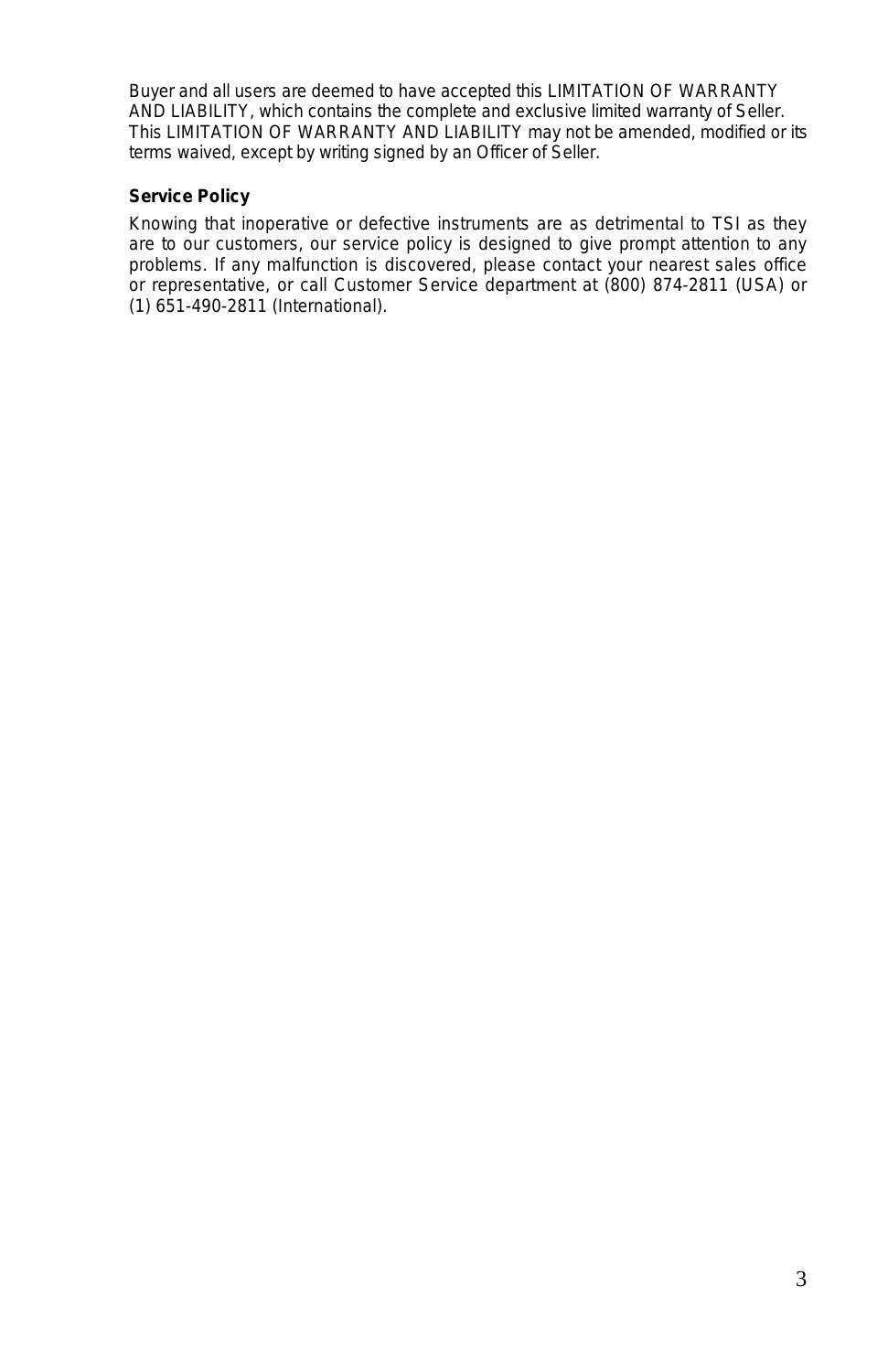Buyer and all users are deemed to have accepted this LIMITATION OF WARRANTY AND LIABILITY, which contains the complete and exclusive limited warranty of Seller. This LIMITATION OF WARRANTY AND LIABILITY may not be amended, modified or its terms waived, except by writing signed by an Officer of Seller.

#### **Service Policy**

Knowing that inoperative or defective instruments are as detrimental to TSI as they are to our customers, our service policy is designed to give prompt attention to any problems. If any malfunction is discovered, please contact your nearest sales office or representative, or call Customer Service department at (800) 874-2811 (USA) or (1) 651-490-2811 (International).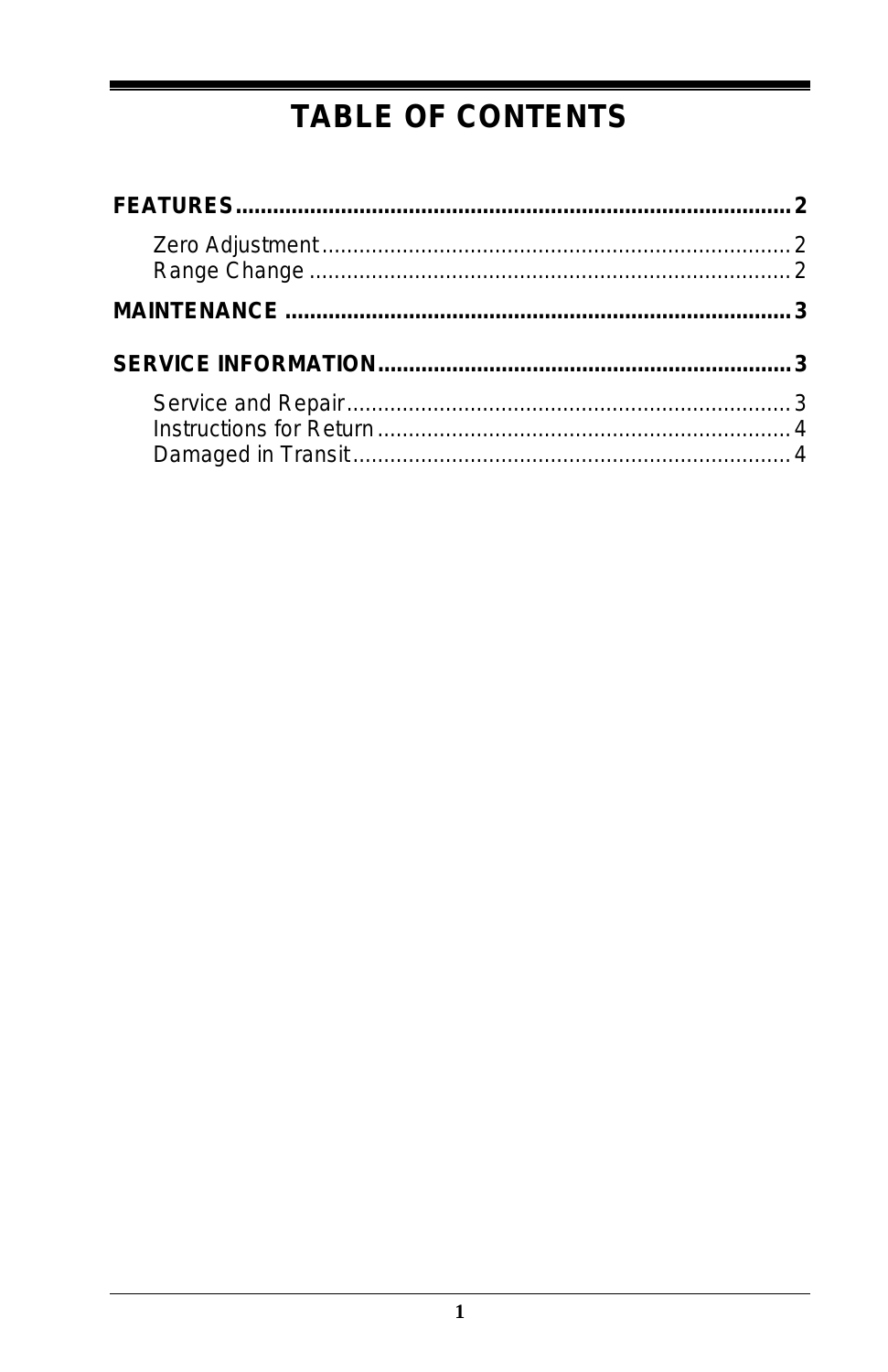### **TABLE OF CONTENTS**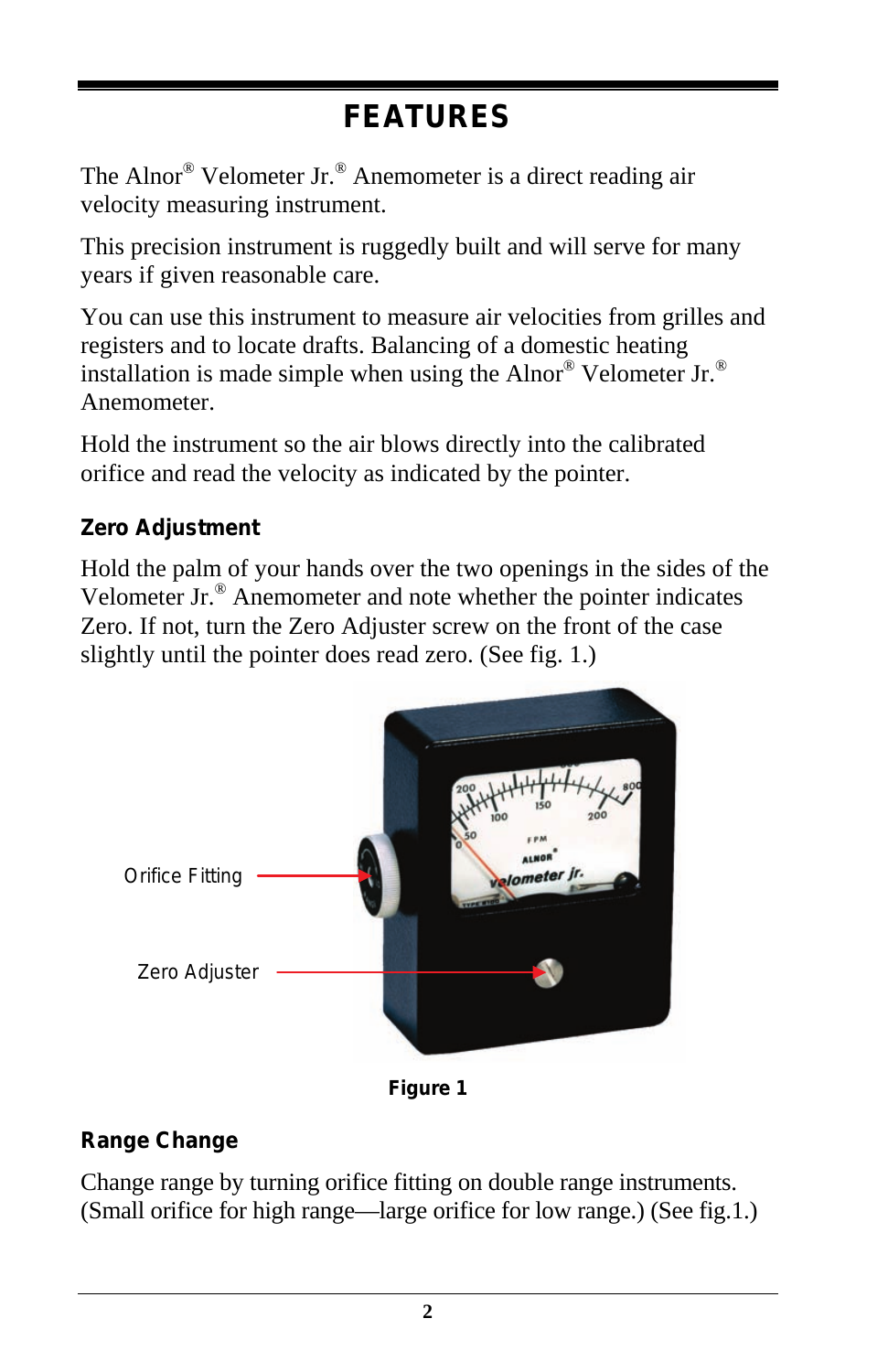# **FEATURES**

The Alnor® Velometer Jr.® Anemometer is a direct reading air velocity measuring instrument.

This precision instrument is ruggedly built and will serve for many years if given reasonable care.

You can use this instrument to measure air velocities from grilles and registers and to locate drafts. Balancing of a domestic heating installation is made simple when using the Alnor® Velometer Jr.® Anemometer.

Hold the instrument so the air blows directly into the calibrated orifice and read the velocity as indicated by the pointer.

### **Zero Adjustment**

Hold the palm of your hands over the two openings in the sides of the Velometer Jr.® Anemometer and note whether the pointer indicates Zero. If not, turn the Zero Adjuster screw on the front of the case slightly until the pointer does read zero. (See fig. 1.)



**Figure 1**

### **Range Change**

Change range by turning orifice fitting on double range instruments. (Small orifice for high range—large orifice for low range.) (See fig.1.)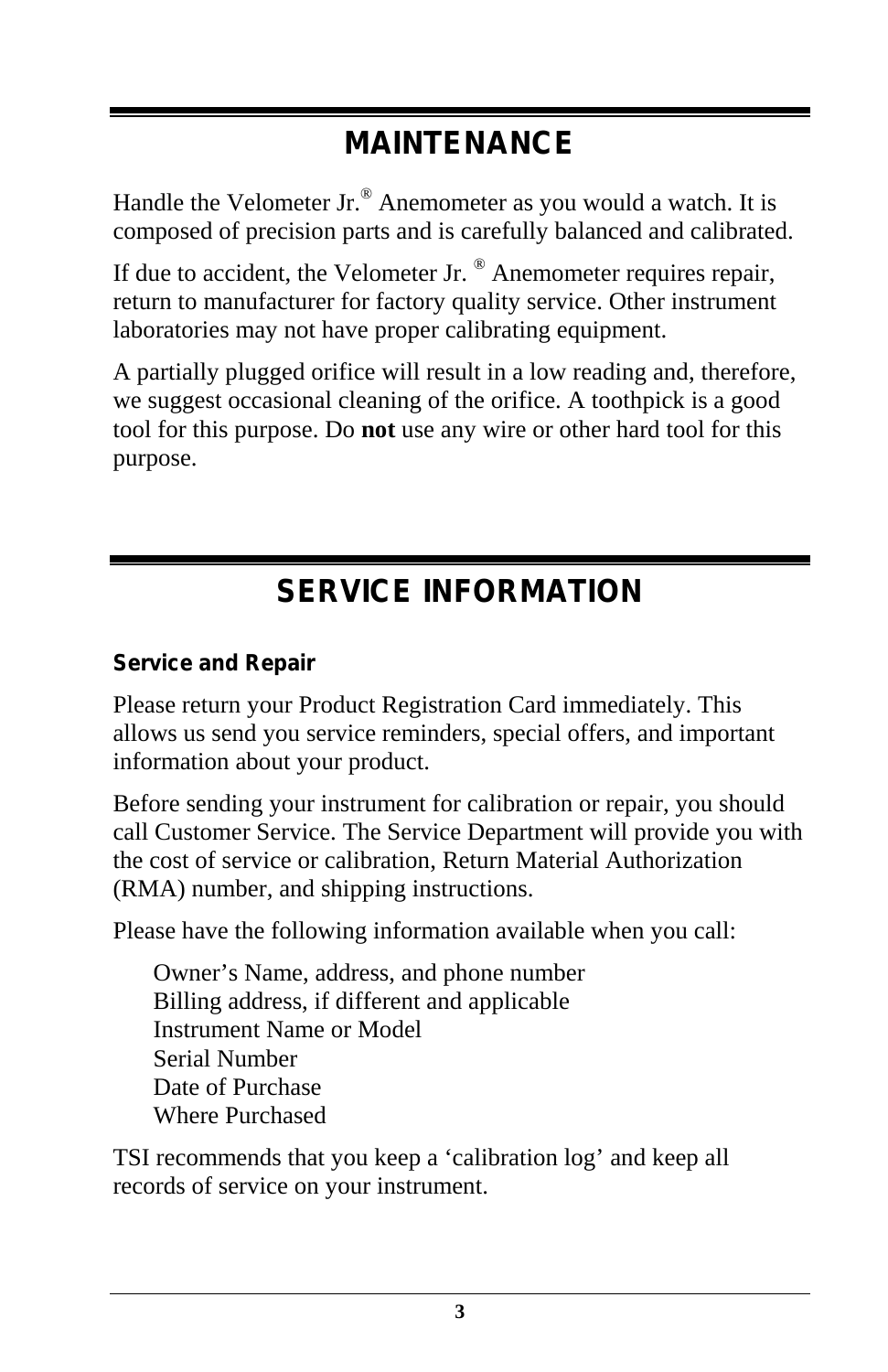### **MAINTENANCE**

Handle the Velometer Jr.® Anemometer as you would a watch. It is composed of precision parts and is carefully balanced and calibrated.

If due to accident, the Velometer Jr. ® Anemometer requires repair, return to manufacturer for factory quality service. Other instrument laboratories may not have proper calibrating equipment.

A partially plugged orifice will result in a low reading and, therefore, we suggest occasional cleaning of the orifice. A toothpick is a good tool for this purpose. Do **not** use any wire or other hard tool for this purpose.

### **SERVICE INFORMATION**

### **Service and Repair**

Please return your Product Registration Card immediately. This allows us send you service reminders, special offers, and important information about your product.

Before sending your instrument for calibration or repair, you should call Customer Service. The Service Department will provide you with the cost of service or calibration, Return Material Authorization (RMA) number, and shipping instructions.

Please have the following information available when you call:

Owner's Name, address, and phone number Billing address, if different and applicable Instrument Name or Model Serial Number Date of Purchase Where Purchased

TSI recommends that you keep a 'calibration log' and keep all records of service on your instrument.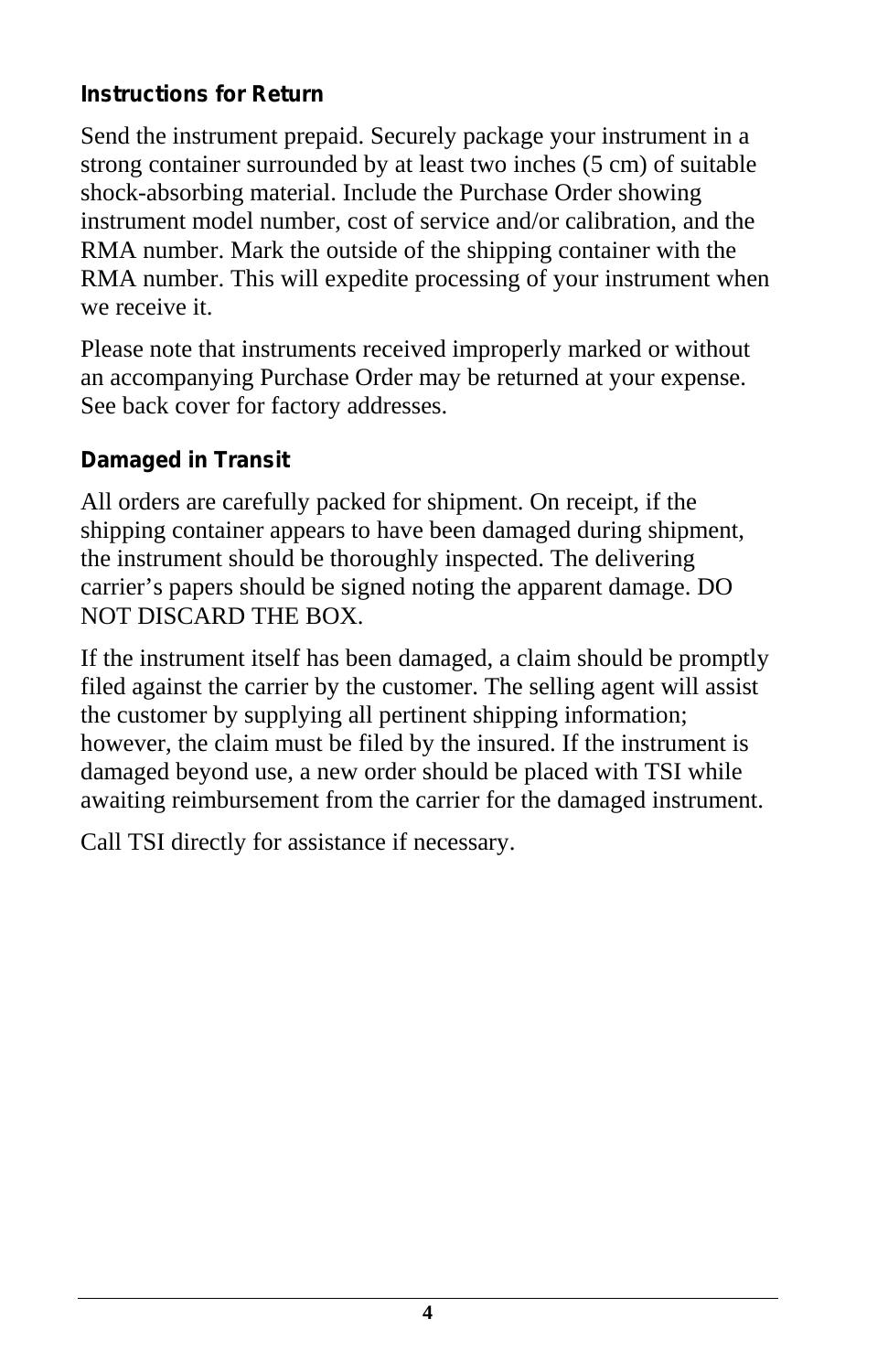#### **Instructions for Return**

Send the instrument prepaid. Securely package your instrument in a strong container surrounded by at least two inches (5 cm) of suitable shock-absorbing material. Include the Purchase Order showing instrument model number, cost of service and/or calibration, and the RMA number. Mark the outside of the shipping container with the RMA number. This will expedite processing of your instrument when we receive it.

Please note that instruments received improperly marked or without an accompanying Purchase Order may be returned at your expense. See back cover for factory addresses.

#### **Damaged in Transit**

All orders are carefully packed for shipment. On receipt, if the shipping container appears to have been damaged during shipment, the instrument should be thoroughly inspected. The delivering carrier's papers should be signed noting the apparent damage. DO NOT DISCARD THE BOX.

If the instrument itself has been damaged, a claim should be promptly filed against the carrier by the customer. The selling agent will assist the customer by supplying all pertinent shipping information; however, the claim must be filed by the insured. If the instrument is damaged beyond use, a new order should be placed with TSI while awaiting reimbursement from the carrier for the damaged instrument.

Call TSI directly for assistance if necessary.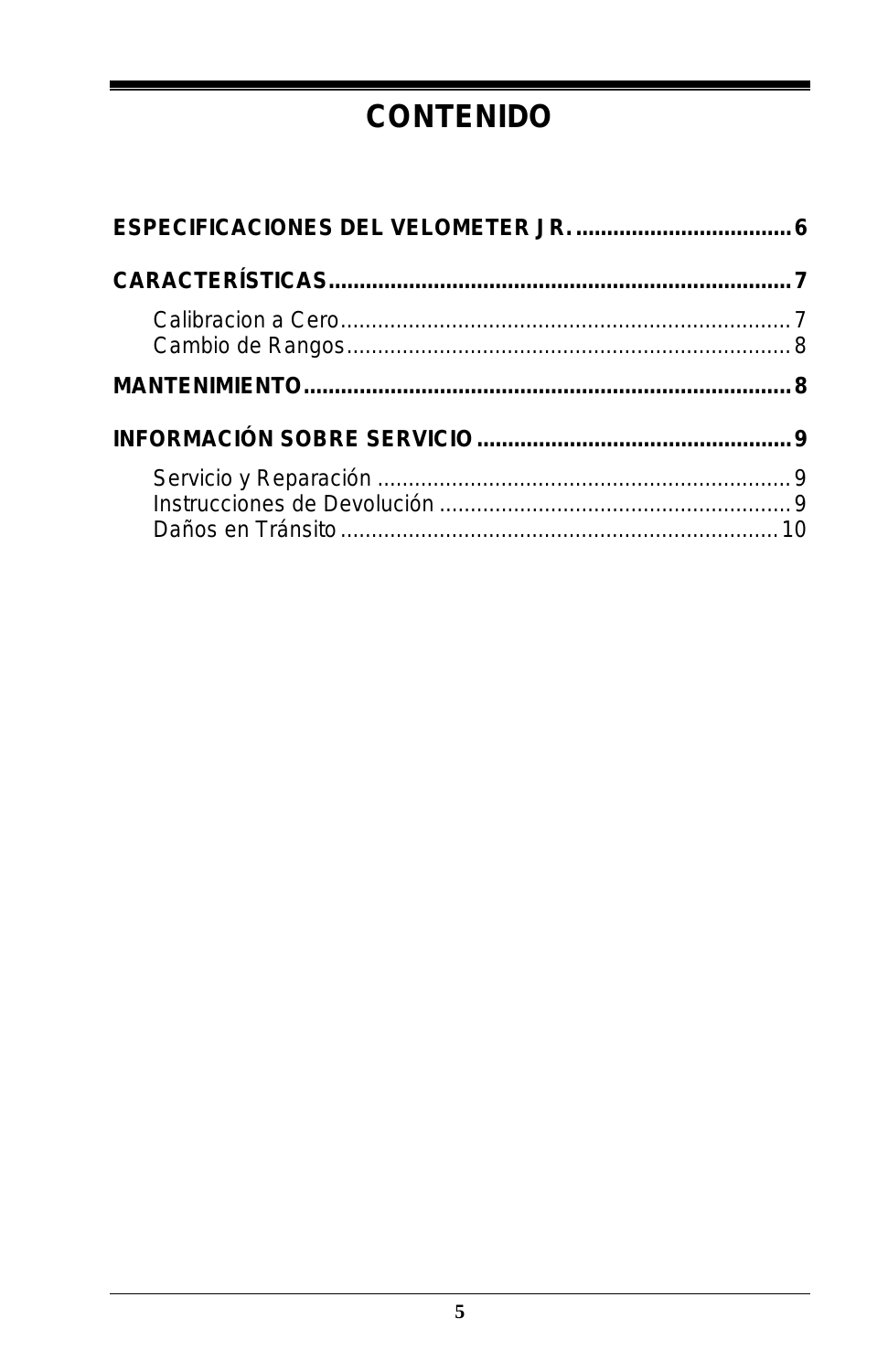### **CONTENIDO**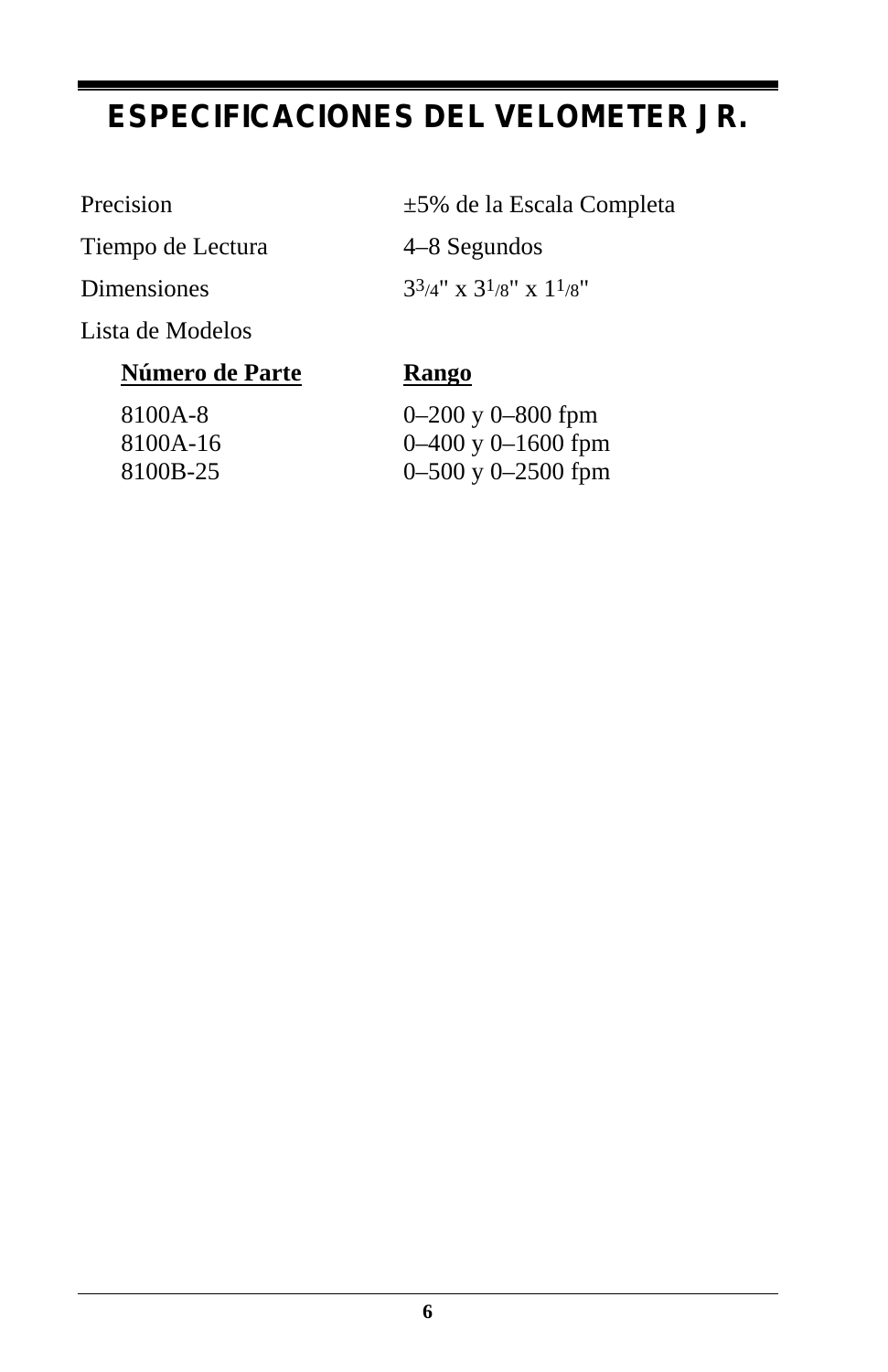### **ESPECIFICACIONES DEL VELOMETER JR.**

Tiempo de Lectura 4–8 Segundos

Lista de Modelos

#### **Número de Parte Rango**

Precision  $\pm 5\%$  de la Escala Completa

Dimensiones  $3^{3/4}$ " x  $3^{1/8}$ " x  $1^{1/8}$ "

8100A-8 0–200 y 0–800 fpm 8100A-16 0–400 y 0–1600 fpm 8100B-25 0–500 y 0–2500 fpm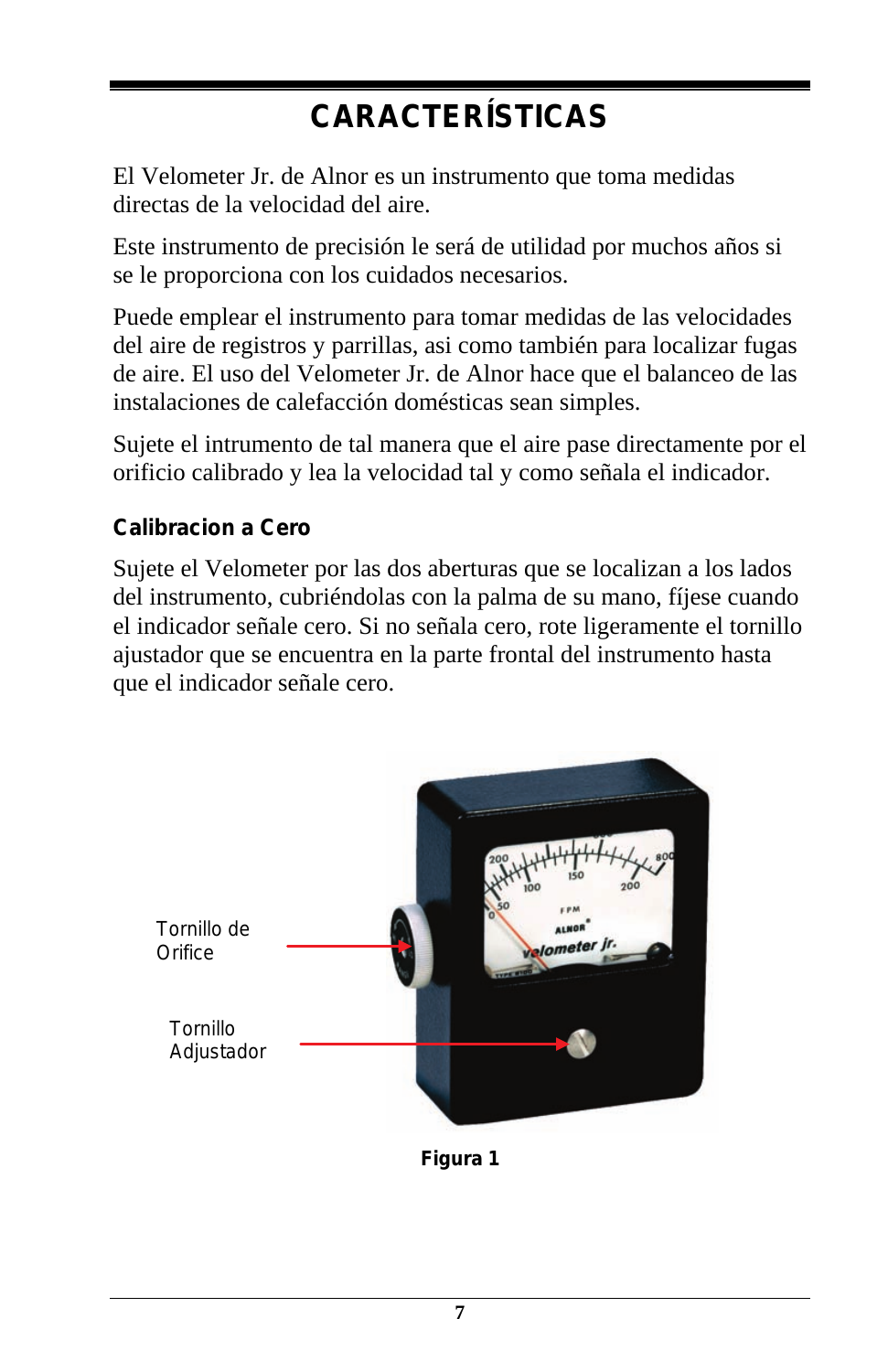# **CARACTERÍSTICAS**

El Velometer Jr. de Alnor es un instrumento que toma medidas directas de la velocidad del aire.

Este instrumento de precisión le será de utilidad por muchos años si se le proporciona con los cuidados necesarios.

Puede emplear el instrumento para tomar medidas de las velocidades del aire de registros y parrillas, asi como también para localizar fugas de aire. El uso del Velometer Jr. de Alnor hace que el balanceo de las instalaciones de calefacción domésticas sean simples.

Sujete el intrumento de tal manera que el aire pase directamente por el orificio calibrado y lea la velocidad tal y como señala el indicador.

#### **Calibracion a Cero**

Sujete el Velometer por las dos aberturas que se localizan a los lados del instrumento, cubriéndolas con la palma de su mano, fíjese cuando el indicador señale cero. Si no señala cero, rote ligeramente el tornillo ajustador que se encuentra en la parte frontal del instrumento hasta que el indicador señale cero.



**Figura 1**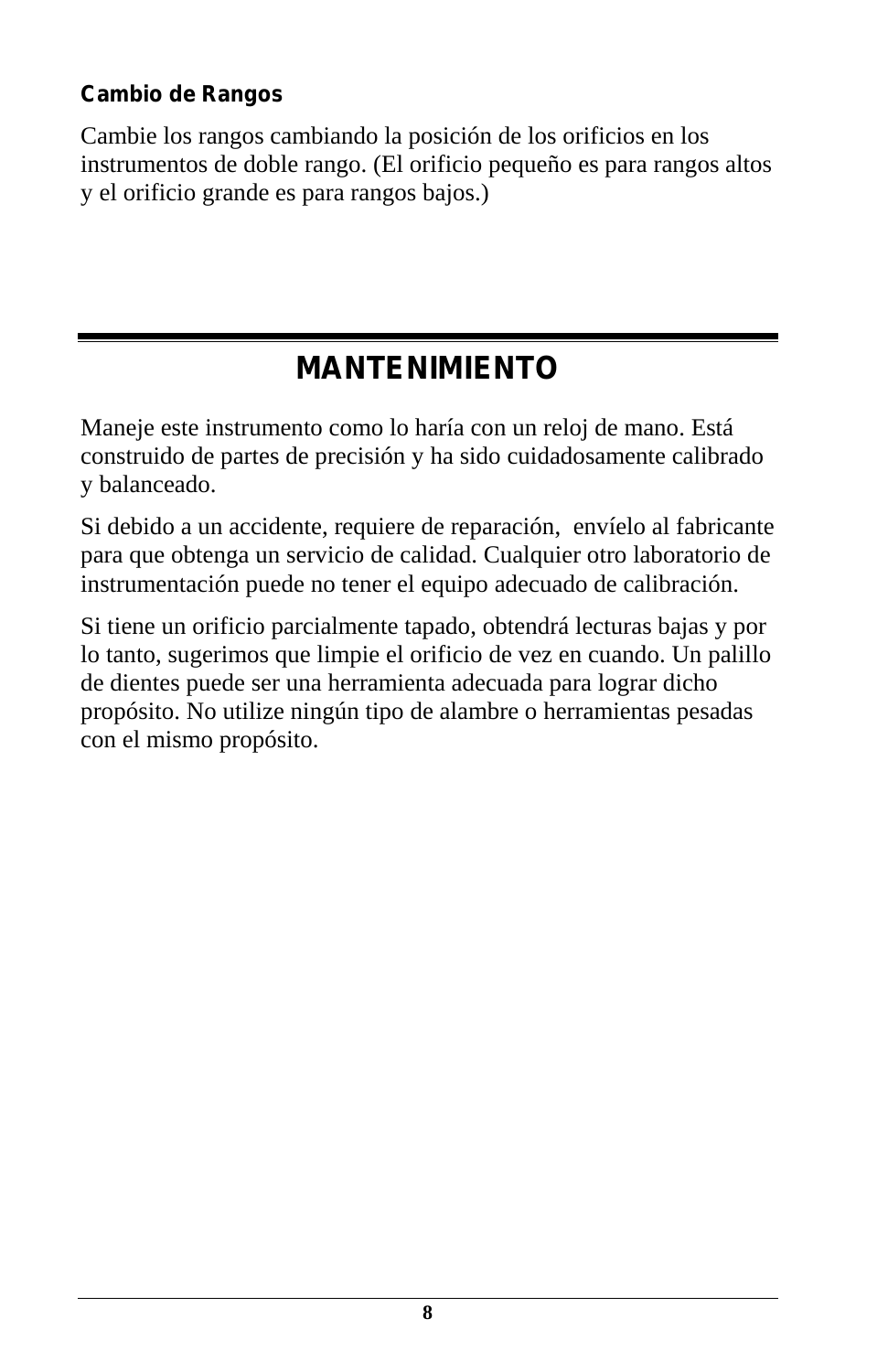### **Cambio de Rangos**

Cambie los rangos cambiando la posición de los orificios en los instrumentos de doble rango. (El orificio pequeño es para rangos altos y el orificio grande es para rangos bajos.)

### **MANTENIMIENTO**

Maneje este instrumento como lo haría con un reloj de mano. Está construido de partes de precisión y ha sido cuidadosamente calibrado y balanceado.

Si debido a un accidente, requiere de reparación, envíelo al fabricante para que obtenga un servicio de calidad. Cualquier otro laboratorio de instrumentación puede no tener el equipo adecuado de calibración.

Si tiene un orificio parcialmente tapado, obtendrá lecturas bajas y por lo tanto, sugerimos que limpie el orificio de vez en cuando. Un palillo de dientes puede ser una herramienta adecuada para lograr dicho propósito. No utilize ningún tipo de alambre o herramientas pesadas con el mismo propósito.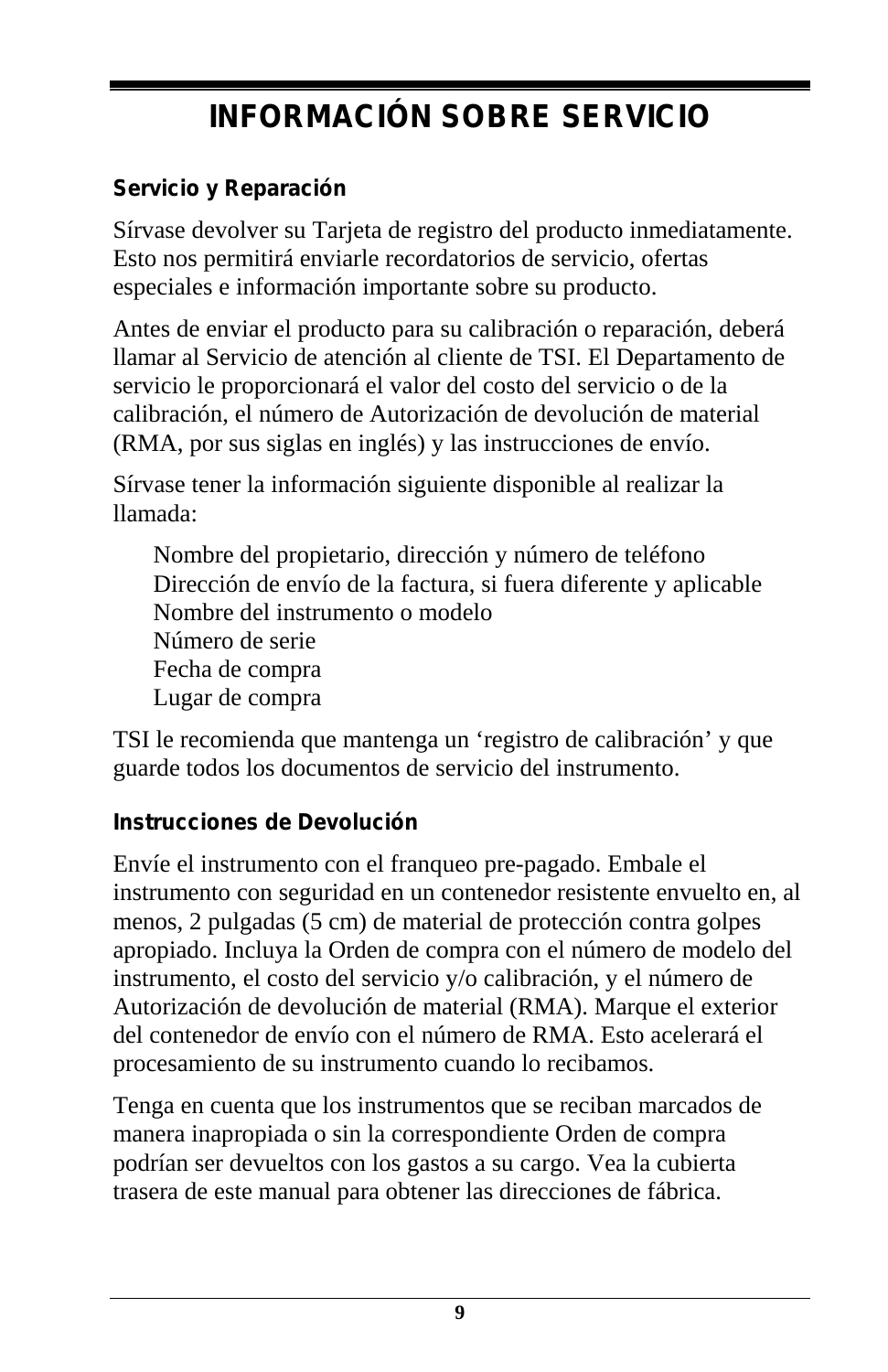## **INFORMACIÓN SOBRE SERVICIO**

### **Servicio y Reparación**

Sírvase devolver su Tarjeta de registro del producto inmediatamente. Esto nos permitirá enviarle recordatorios de servicio, ofertas especiales e información importante sobre su producto.

Antes de enviar el producto para su calibración o reparación, deberá llamar al Servicio de atención al cliente de TSI. El Departamento de servicio le proporcionará el valor del costo del servicio o de la calibración, el número de Autorización de devolución de material (RMA, por sus siglas en inglés) y las instrucciones de envío.

Sírvase tener la información siguiente disponible al realizar la llamada:

Nombre del propietario, dirección y número de teléfono Dirección de envío de la factura, si fuera diferente y aplicable Nombre del instrumento o modelo Número de serie Fecha de compra Lugar de compra

TSI le recomienda que mantenga un 'registro de calibración' y que guarde todos los documentos de servicio del instrumento.

#### **Instrucciones de Devolución**

Envíe el instrumento con el franqueo pre-pagado. Embale el instrumento con seguridad en un contenedor resistente envuelto en, al menos, 2 pulgadas (5 cm) de material de protección contra golpes apropiado. Incluya la Orden de compra con el número de modelo del instrumento, el costo del servicio y/o calibración, y el número de Autorización de devolución de material (RMA). Marque el exterior del contenedor de envío con el número de RMA. Esto acelerará el procesamiento de su instrumento cuando lo recibamos.

Tenga en cuenta que los instrumentos que se reciban marcados de manera inapropiada o sin la correspondiente Orden de compra podrían ser devueltos con los gastos a su cargo. Vea la cubierta trasera de este manual para obtener las direcciones de fábrica.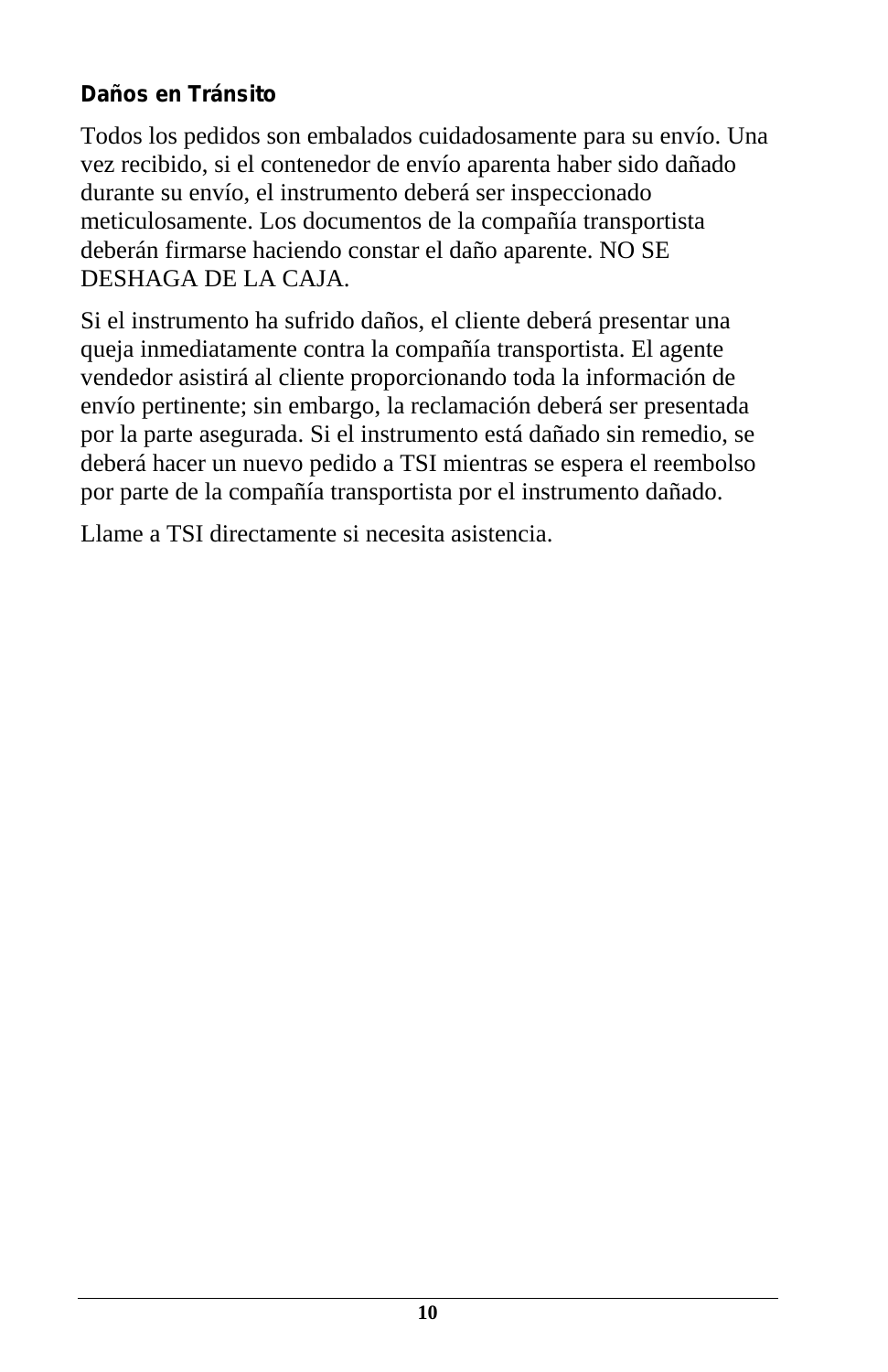### **Daños en Tránsito**

Todos los pedidos son embalados cuidadosamente para su envío. Una vez recibido, si el contenedor de envío aparenta haber sido dañado durante su envío, el instrumento deberá ser inspeccionado meticulosamente. Los documentos de la compañía transportista deberán firmarse haciendo constar el daño aparente. NO SE DESHAGA DE LA CAJA.

Si el instrumento ha sufrido daños, el cliente deberá presentar una queja inmediatamente contra la compañía transportista. El agente vendedor asistirá al cliente proporcionando toda la información de envío pertinente; sin embargo, la reclamación deberá ser presentada por la parte asegurada. Si el instrumento está dañado sin remedio, se deberá hacer un nuevo pedido a TSI mientras se espera el reembolso por parte de la compañía transportista por el instrumento dañado.

Llame a TSI directamente si necesita asistencia.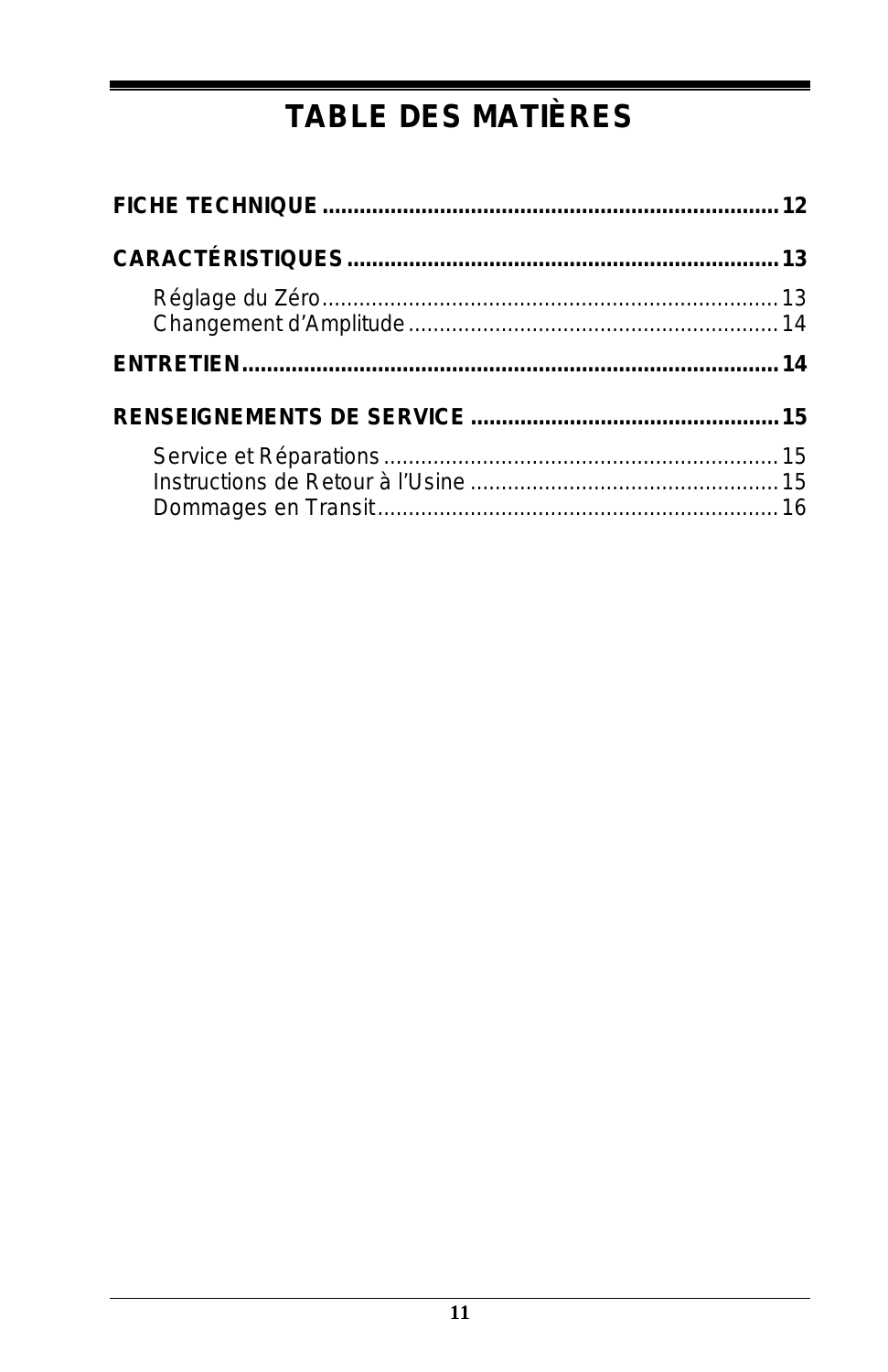# **TABLE DES MATIÈRES**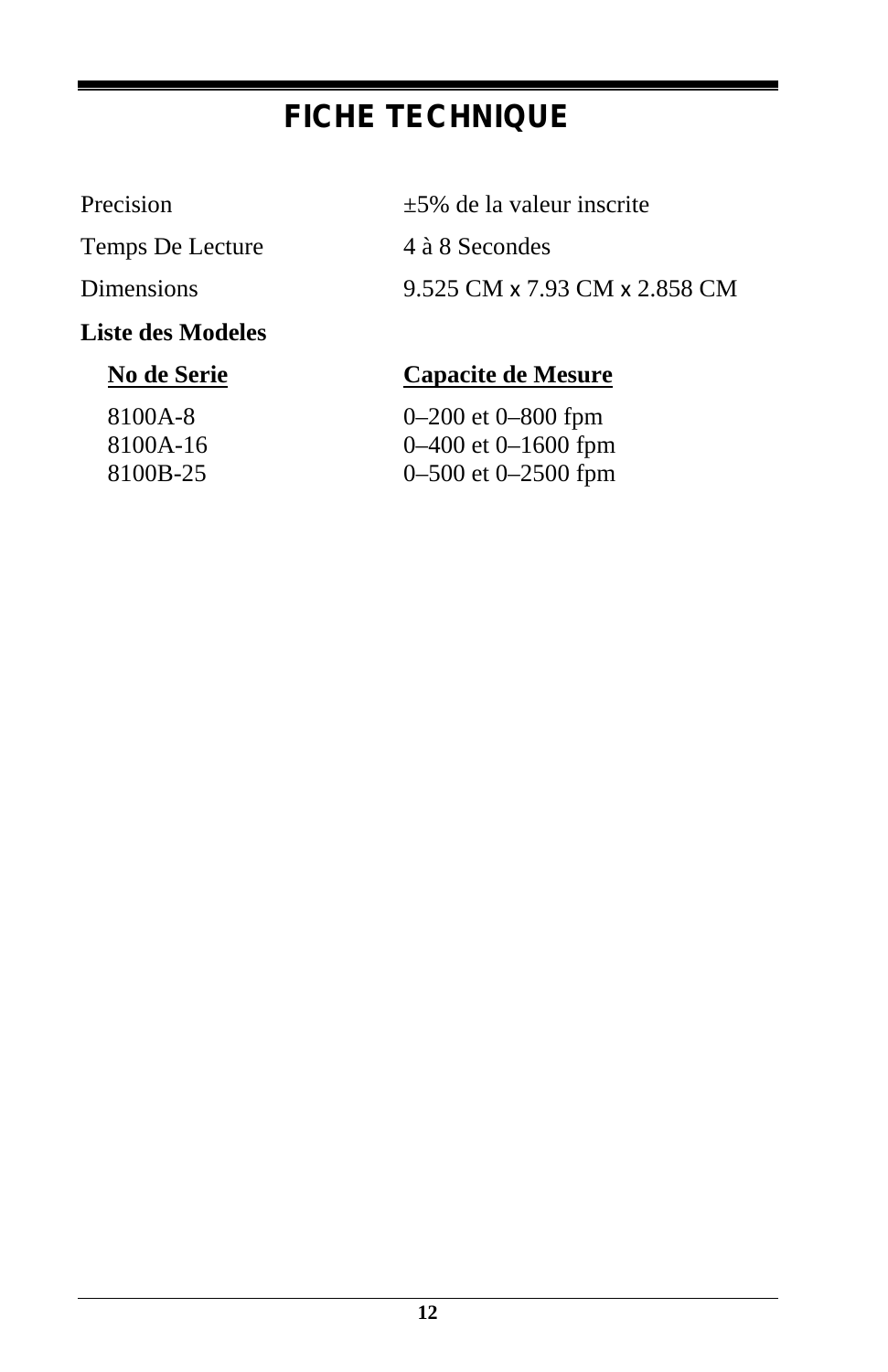### **FICHE TECHNIQUE**

Temps De Lecture 4 à 8 Secondes

**Liste des Modeles**

Precision  $\pm 5\%$  de la valeur inscrite

Dimensions 9.525 CM x 7.93 CM x 2.858 CM

### **No de Serie Capacite de Mesure**

8100A-8 0–200 et 0–800 fpm 8100A-16 0–400 et 0–1600 fpm 8100B-25 0–500 et 0–2500 fpm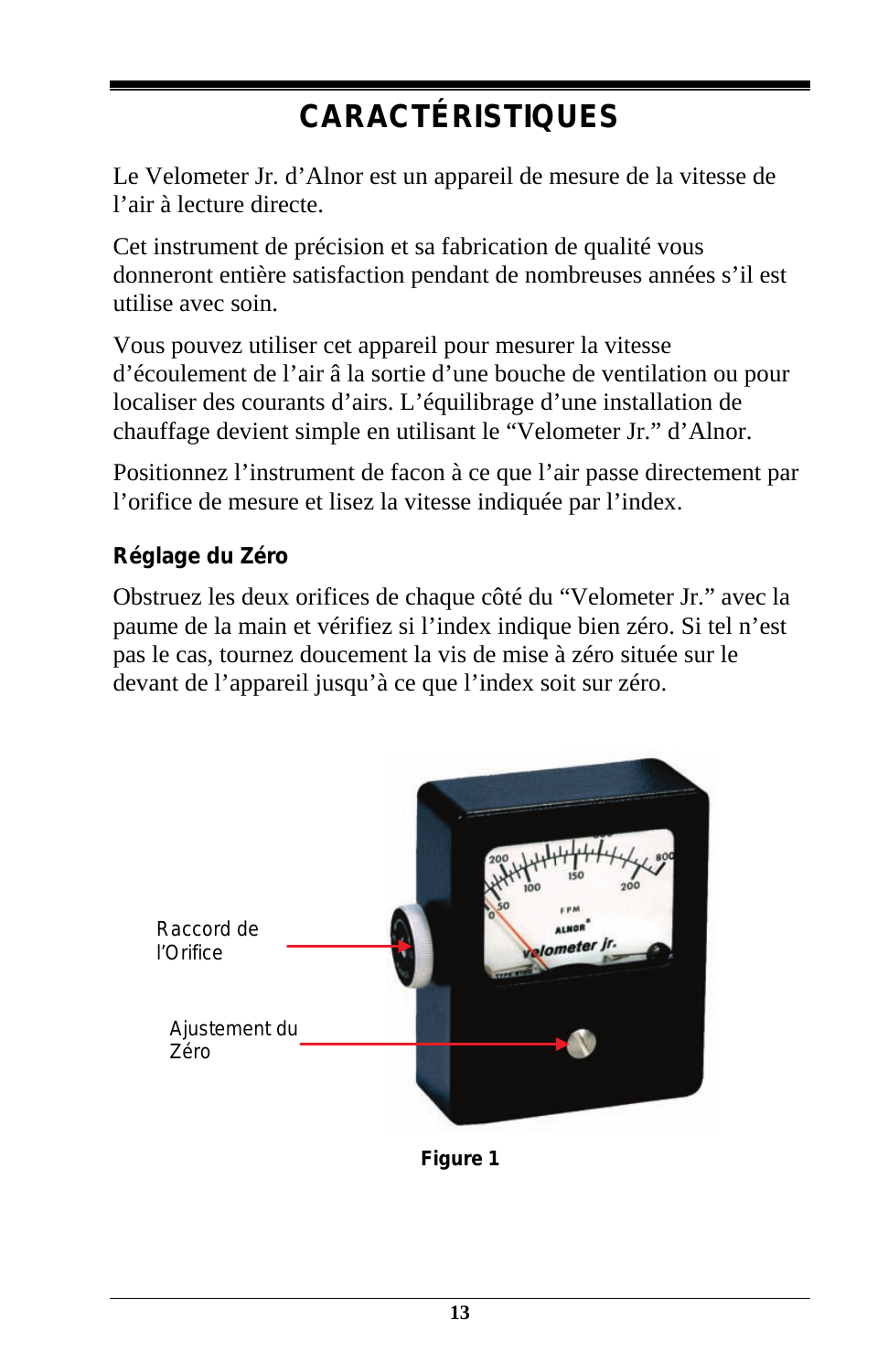# **CARACTÉRISTIQUES**

Le Velometer Jr. d'Alnor est un appareil de mesure de la vitesse de l'air à lecture directe.

Cet instrument de précision et sa fabrication de qualité vous donneront entière satisfaction pendant de nombreuses années s'il est utilise avec soin.

Vous pouvez utiliser cet appareil pour mesurer la vitesse d'écoulement de l'air â la sortie d'une bouche de ventilation ou pour localiser des courants d'airs. L'équilibrage d'une installation de chauffage devient simple en utilisant le "Velometer Jr." d'Alnor.

Positionnez l'instrument de facon à ce que l'air passe directement par l'orifice de mesure et lisez la vitesse indiquée par l'index.

### **Réglage du Zéro**

Obstruez les deux orifices de chaque côté du "Velometer Jr." avec la paume de la main et vérifiez si l'index indique bien zéro. Si tel n'est pas le cas, tournez doucement la vis de mise à zéro située sur le devant de l'appareil jusqu'à ce que l'index soit sur zéro.



**Figure 1**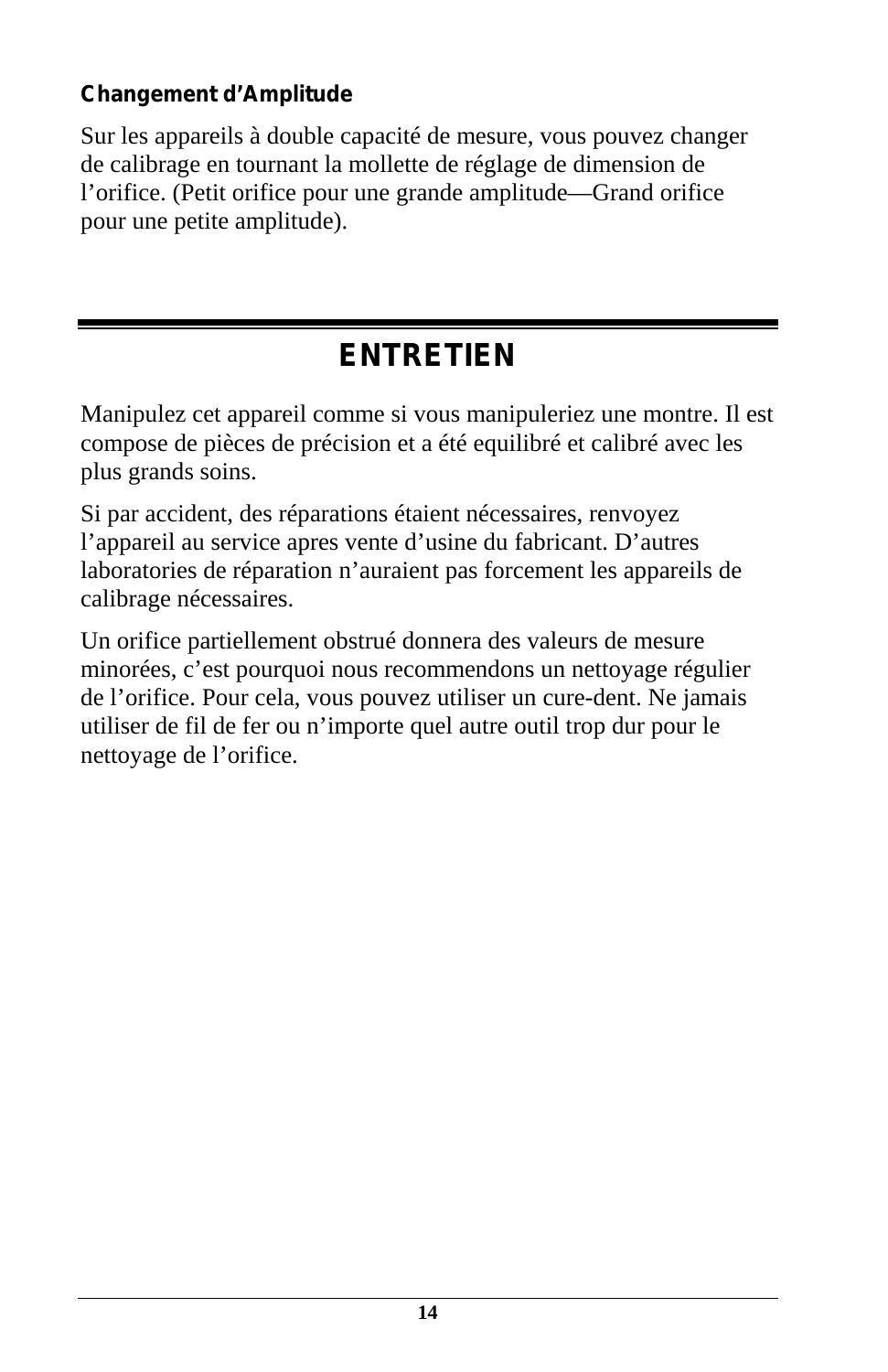### **Changement d'Amplitude**

Sur les appareils à double capacité de mesure, vous pouvez changer de calibrage en tournant la mollette de réglage de dimension de l'orifice. (Petit orifice pour une grande amplitude—Grand orifice pour une petite amplitude).

### **ENTRETIEN**

Manipulez cet appareil comme si vous manipuleriez une montre. Il est compose de pièces de précision et a été equilibré et calibré avec les plus grands soins.

Si par accident, des réparations étaient nécessaires, renvoyez l'appareil au service apres vente d'usine du fabricant. D'autres laboratories de réparation n'auraient pas forcement les appareils de calibrage nécessaires.

Un orifice partiellement obstrué donnera des valeurs de mesure minorées, c'est pourquoi nous recommendons un nettoyage régulier de l'orifice. Pour cela, vous pouvez utiliser un cure-dent. Ne jamais utiliser de fil de fer ou n'importe quel autre outil trop dur pour le nettoyage de l'orifice.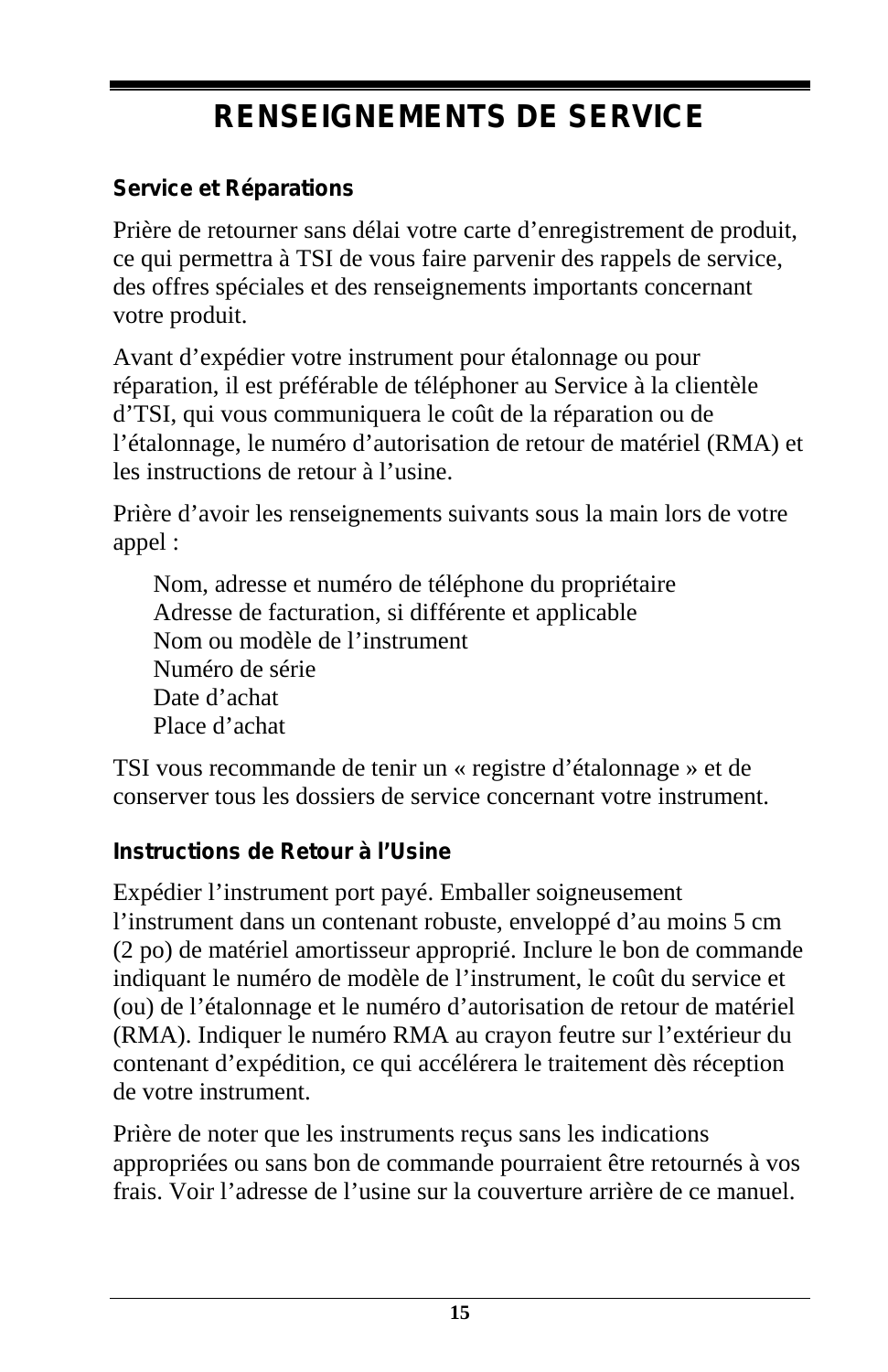### **RENSEIGNEMENTS DE SERVICE**

#### **Service et Réparations**

Prière de retourner sans délai votre carte d'enregistrement de produit, ce qui permettra à TSI de vous faire parvenir des rappels de service, des offres spéciales et des renseignements importants concernant votre produit.

Avant d'expédier votre instrument pour étalonnage ou pour réparation, il est préférable de téléphoner au Service à la clientèle d'TSI, qui vous communiquera le coût de la réparation ou de l'étalonnage, le numéro d'autorisation de retour de matériel (RMA) et les instructions de retour à l'usine.

Prière d'avoir les renseignements suivants sous la main lors de votre appel :

Nom, adresse et numéro de téléphone du propriétaire Adresse de facturation, si différente et applicable Nom ou modèle de l'instrument Numéro de série Date d'achat Place d'achat

TSI vous recommande de tenir un « registre d'étalonnage » et de conserver tous les dossiers de service concernant votre instrument.

#### **Instructions de Retour à l'Usine**

Expédier l'instrument port payé. Emballer soigneusement l'instrument dans un contenant robuste, enveloppé d'au moins 5 cm (2 po) de matériel amortisseur approprié. Inclure le bon de commande indiquant le numéro de modèle de l'instrument, le coût du service et (ou) de l'étalonnage et le numéro d'autorisation de retour de matériel (RMA). Indiquer le numéro RMA au crayon feutre sur l'extérieur du contenant d'expédition, ce qui accélérera le traitement dès réception de votre instrument.

Prière de noter que les instruments reçus sans les indications appropriées ou sans bon de commande pourraient être retournés à vos frais. Voir l'adresse de l'usine sur la couverture arrière de ce manuel.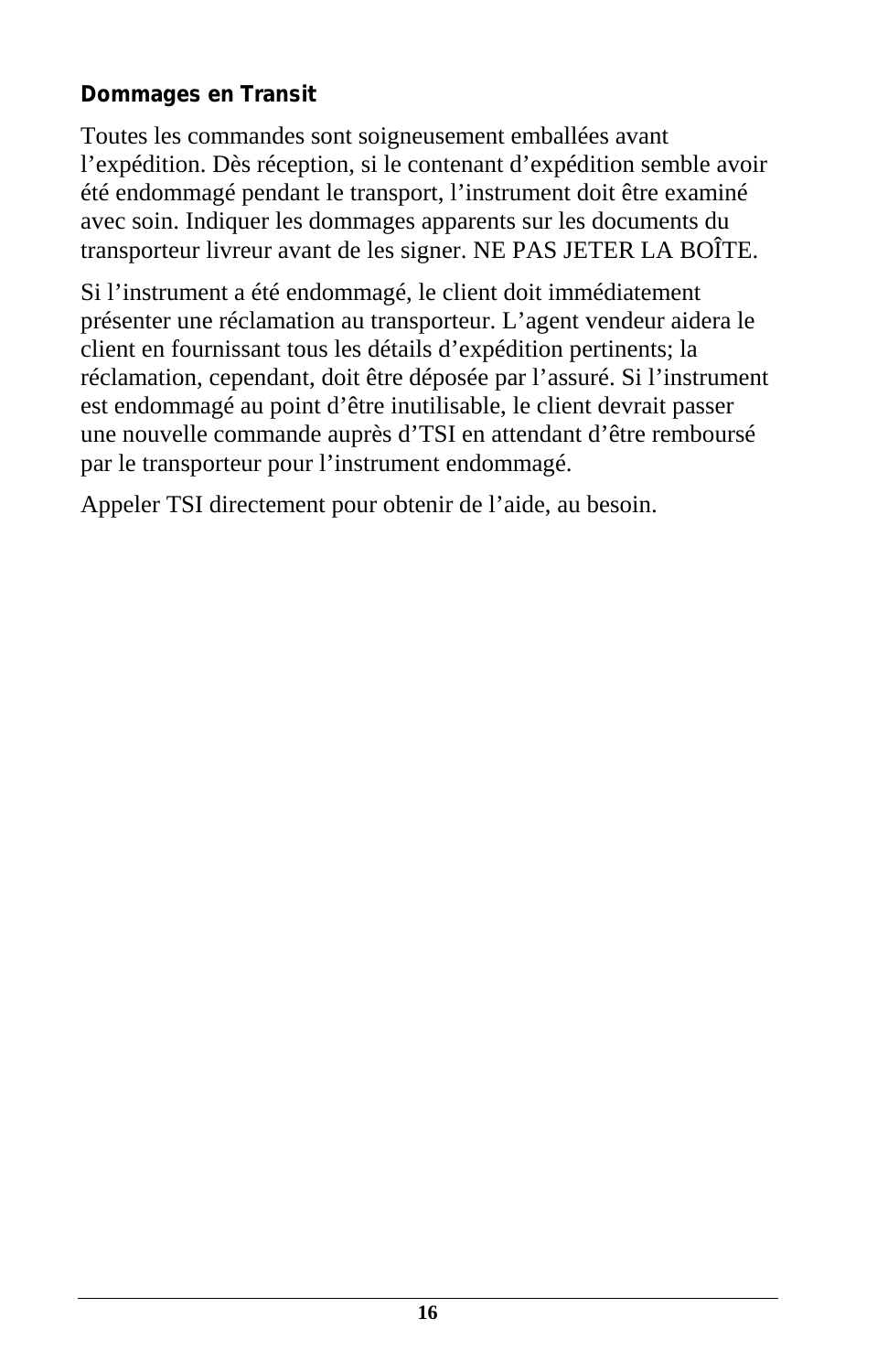#### **Dommages en Transit**

Toutes les commandes sont soigneusement emballées avant l'expédition. Dès réception, si le contenant d'expédition semble avoir été endommagé pendant le transport, l'instrument doit être examiné avec soin. Indiquer les dommages apparents sur les documents du transporteur livreur avant de les signer. NE PAS JETER LA BOÎTE.

Si l'instrument a été endommagé, le client doit immédiatement présenter une réclamation au transporteur. L'agent vendeur aidera le client en fournissant tous les détails d'expédition pertinents; la réclamation, cependant, doit être déposée par l'assuré. Si l'instrument est endommagé au point d'être inutilisable, le client devrait passer une nouvelle commande auprès d'TSI en attendant d'être remboursé par le transporteur pour l'instrument endommagé.

Appeler TSI directement pour obtenir de l'aide, au besoin.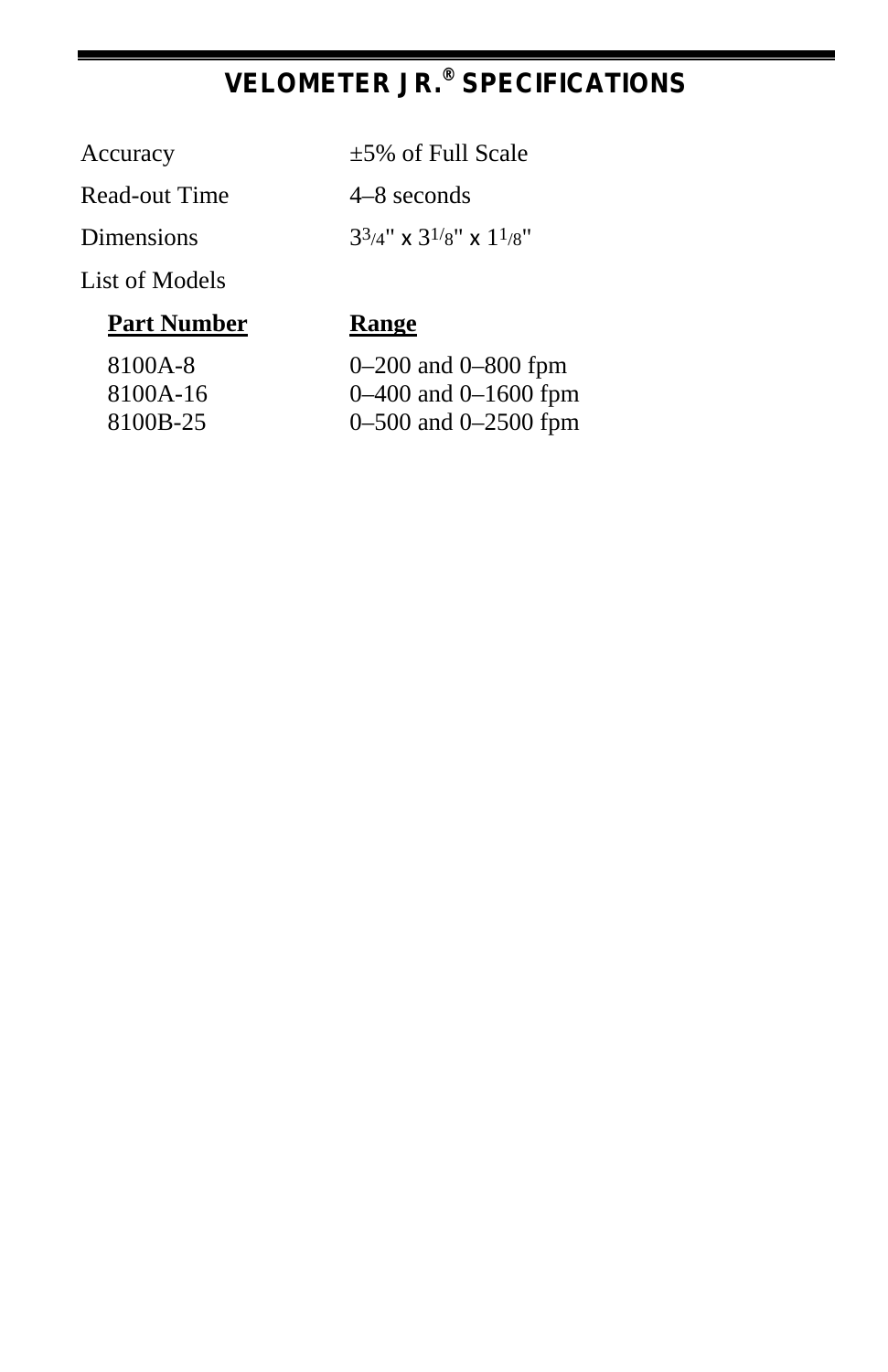### **VELOMETER JR.® SPECIFICATIONS**

#### Accuracy  $\pm 5\%$  of Full Scale

Read-out Time 4–8 seconds

Dimensions  $3^{3/4}$ " x  $3^{1/8}$ " x  $1^{1/8}$ "

List of Models

### **Part Number Range**

8100A-8 8100A-16 8100B-25

| $0-200$ and $0-800$ fpm |
|-------------------------|
| 0–400 and 0–1600 fpm    |
| 0–500 and 0–2500 fpm    |